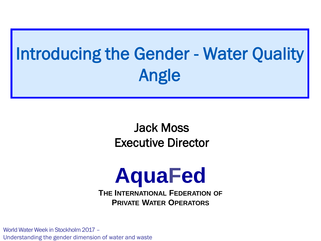# Introducing the Gender - Water Quality Angle

#### Jack Moss Executive Director

# **AquaFed**

**THE INTERNATIONAL FEDERATION OF PRIVATE WATER OPERATORS**

World Water Week in Stockholm 2017 – Understanding the gender dimension of water and waste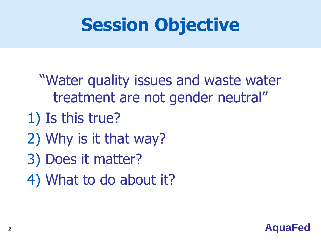# **Session Objective**

- "Water quality issues and waste water treatment are not gender neutral"
- 1) Is this true?
- 2) Why is it that way?
- 3) Does it matter?
- 4) What to do about it?

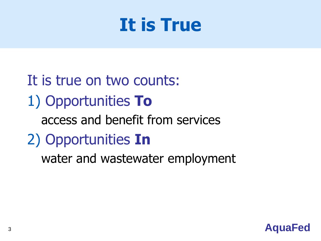#### **It is True**

It is true on two counts: 1) Opportunities **To** access and benefit from services 2) Opportunities **In** water and wastewater employment

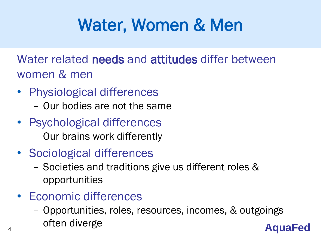### Water, Women & Men

Water related needs and attitudes differ between women & men

- Physiological differences
	- Our bodies are not the same
- Psychological differences
	- Our brains work differently
- Sociological differences
	- Societies and traditions give us different roles & opportunities
- Economic differences
- 4 **Collen diverge AquaFed** – Opportunities, roles, resources, incomes, & outgoings often diverge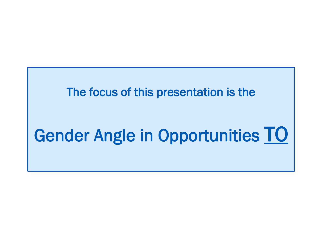#### The focus of this presentation is the

## Gender Angle in Opportunities TO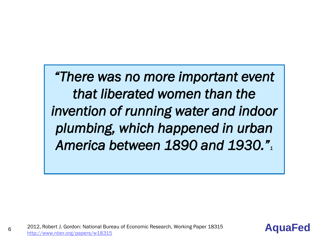*"There was no more important event that liberated women than the invention of running water and indoor plumbing, which happened in urban America between 1890 and 1930."<sup>1</sup>*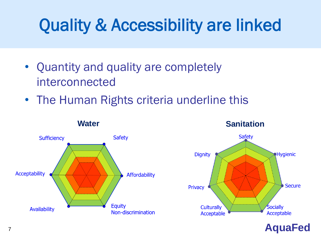### Quality & Accessibility are linked

- Quantity and quality are completely interconnected
- The Human Rights criteria underline this

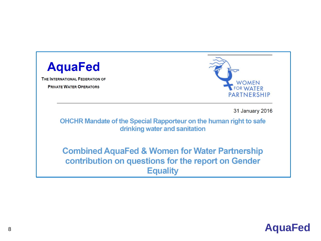| <b>AquaFed</b><br>THE INTERNATIONAL FEDERATION OF<br><b>PRIVATE WATER OPERATORS</b> | <b>WOMEN</b><br><b>FOR WATER</b><br><b>PARTNERSHI</b>                                                                              |
|-------------------------------------------------------------------------------------|------------------------------------------------------------------------------------------------------------------------------------|
|                                                                                     | 31 January 20<br><b>OHCHR Mandate of the Special Rapporteur on the human right to safe</b><br>drinking water and sanitation        |
|                                                                                     | <b>Combined AquaFed &amp; Women for Water Partnership</b><br>contribution on questions for the report on Gender<br><b>Equality</b> |



PARTNERSHIP

31 January 2016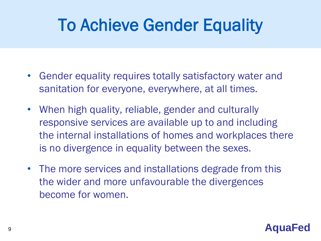#### To Achieve Gender Equality

- Gender equality requires totally satisfactory water and sanitation for everyone, everywhere, at all times.
- When high quality, reliable, gender and culturally responsive services are available up to and including the internal installations of homes and workplaces there is no divergence in equality between the sexes.
- The more services and installations degrade from this the wider and more unfavourable the divergences become for women.

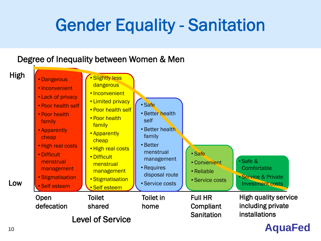#### Gender Equality - Sanitation

#### Degree of Inequality between Women & Men

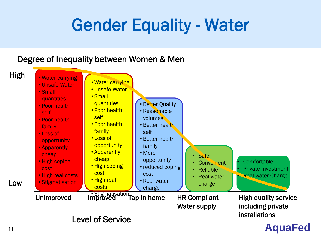#### Gender Equality - Water

#### Degree of Inequality between Women & Men Level of Service High quality service including private installations High Low Unimproved Improved Tap in home HR Compliant Water supply • Water carrying • Unsafe Water • Small quantities • Poor health self • Poor health family • Loss of opportunity • Apparently cheap • High coping cost • High real costs • Stigmatisation **Comfortable** • Private Investment • Real water Charge **Safe Convenient** • Reliable • Real water charge • Better Quality • Reasonable volumes • Better health self • Better health family • More opportunity • reduced coping cost • Real water charge • Water carrying • Unsafe Water • Small **quantities** • Poor health self • Poor health family • Loss of **opportunity** • Apparently cheap • High coping cost • High real costs

#### <sup>11</sup> **AquaFed**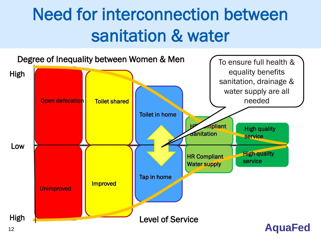### Need for interconnection between sanitation & water

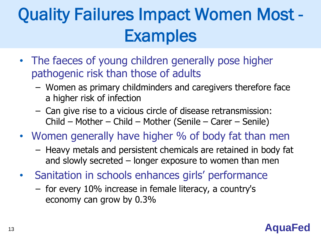## Quality Failures Impact Women Most - **Examples**

- The faeces of young children generally pose higher pathogenic risk than those of adults
	- Women as primary childminders and caregivers therefore face a higher risk of infection
	- Can give rise to a vicious circle of disease retransmission: Child – Mother – Child – Mother (Senile – Carer – Senile)
- Women generally have higher % of body fat than men
	- Heavy metals and persistent chemicals are retained in body fat and slowly secreted – longer exposure to women than men
- Sanitation in schools enhances girls' performance
	- for every 10% increase in female literacy, a country's economy can grow by 0.3%

#### <sup>13</sup> **AquaFed**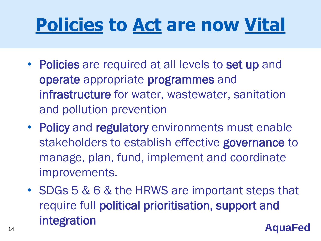# **Policies to Act are now Vital**

- Policies are required at all levels to set up and operate appropriate programmes and infrastructure for water, wastewater, sanitation and pollution prevention
- Policy and regulatory environments must enable stakeholders to establish effective governance to manage, plan, fund, implement and coordinate improvements.
- <sup>14</sup> **AquaFed** • SDGs 5 & 6 & the HRWS are important steps that require full political prioritisation, support and integration